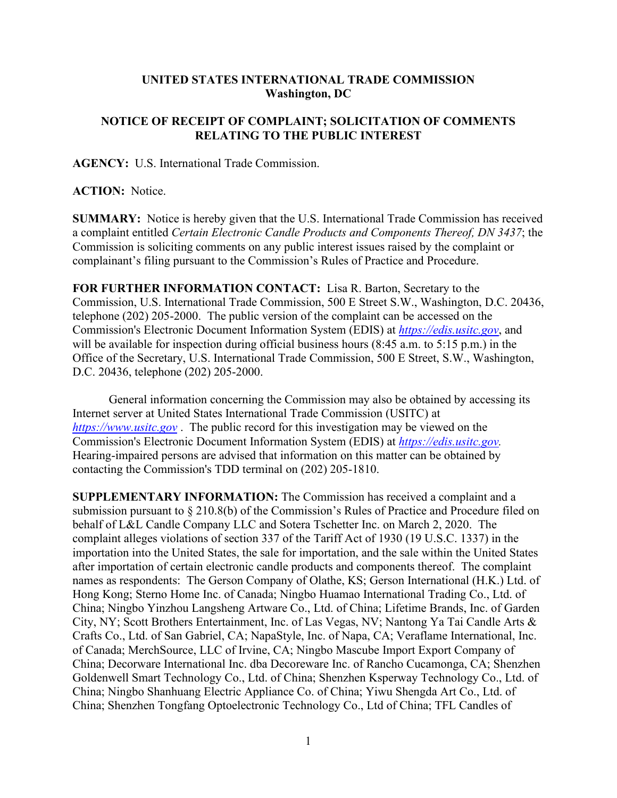## **UNITED STATES INTERNATIONAL TRADE COMMISSION Washington, DC**

## **NOTICE OF RECEIPT OF COMPLAINT; SOLICITATION OF COMMENTS RELATING TO THE PUBLIC INTEREST**

**AGENCY:** U.S. International Trade Commission.

## **ACTION:** Notice.

**SUMMARY:** Notice is hereby given that the U.S. International Trade Commission has received a complaint entitled *Certain Electronic Candle Products and Components Thereof, DN 3437*; the Commission is soliciting comments on any public interest issues raised by the complaint or complainant's filing pursuant to the Commission's Rules of Practice and Procedure.

**FOR FURTHER INFORMATION CONTACT:** Lisa R. Barton, Secretary to the Commission, U.S. International Trade Commission, 500 E Street S.W., Washington, D.C. 20436, telephone (202) 205-2000. The public version of the complaint can be accessed on the Commission's Electronic Document Information System (EDIS) at *[https://edis.usitc.gov](https://edis.usitc.gov/)*, and will be available for inspection during official business hours (8:45 a.m. to 5:15 p.m.) in the Office of the Secretary, U.S. International Trade Commission, 500 E Street, S.W., Washington, D.C. 20436, telephone (202) 205-2000.

General information concerning the Commission may also be obtained by accessing its Internet server at United States International Trade Commission (USITC) at *[https://www.usitc.gov](https://www.usitc.gov/)* . The public record for this investigation may be viewed on the Commission's Electronic Document Information System (EDIS) at *[https://edis.usitc.gov.](https://edis.usitc.gov/)* Hearing-impaired persons are advised that information on this matter can be obtained by contacting the Commission's TDD terminal on (202) 205-1810.

**SUPPLEMENTARY INFORMATION:** The Commission has received a complaint and a submission pursuant to § 210.8(b) of the Commission's Rules of Practice and Procedure filed on behalf of L&L Candle Company LLC and Sotera Tschetter Inc. on March 2, 2020. The complaint alleges violations of section 337 of the Tariff Act of 1930 (19 U.S.C. 1337) in the importation into the United States, the sale for importation, and the sale within the United States after importation of certain electronic candle products and components thereof. The complaint names as respondents: The Gerson Company of Olathe, KS; Gerson International (H.K.) Ltd. of Hong Kong; Sterno Home Inc. of Canada; Ningbo Huamao International Trading Co., Ltd. of China; Ningbo Yinzhou Langsheng Artware Co., Ltd. of China; Lifetime Brands, Inc. of Garden City, NY; Scott Brothers Entertainment, Inc. of Las Vegas, NV; Nantong Ya Tai Candle Arts & Crafts Co., Ltd. of San Gabriel, CA; NapaStyle, Inc. of Napa, CA; Veraflame International, Inc. of Canada; MerchSource, LLC of Irvine, CA; Ningbo Mascube Import Export Company of China; Decorware International Inc. dba Decoreware Inc. of Rancho Cucamonga, CA; Shenzhen Goldenwell Smart Technology Co., Ltd. of China; Shenzhen Ksperway Technology Co., Ltd. of China; Ningbo Shanhuang Electric Appliance Co. of China; Yiwu Shengda Art Co., Ltd. of China; Shenzhen Tongfang Optoelectronic Technology Co., Ltd of China; TFL Candles of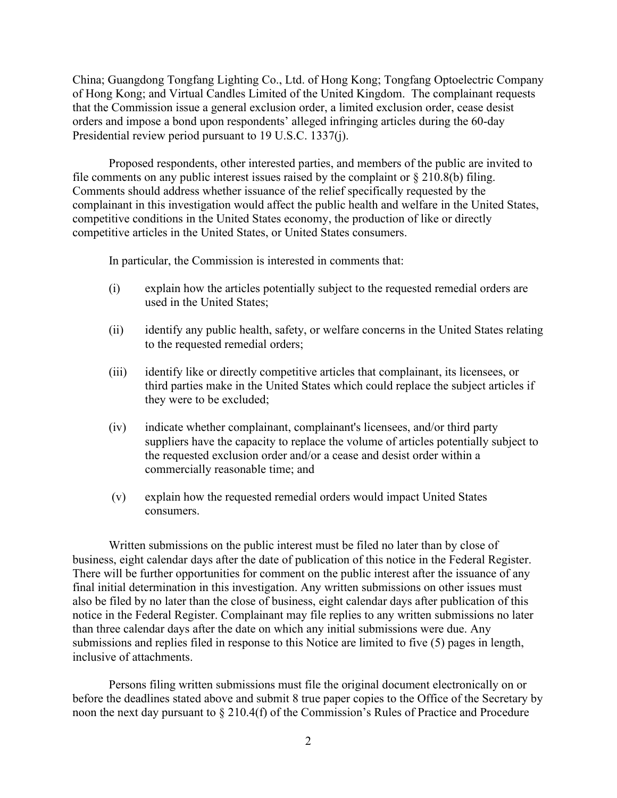China; Guangdong Tongfang Lighting Co., Ltd. of Hong Kong; Tongfang Optoelectric Company of Hong Kong; and Virtual Candles Limited of the United Kingdom. The complainant requests that the Commission issue a general exclusion order, a limited exclusion order, cease desist orders and impose a bond upon respondents' alleged infringing articles during the 60-day Presidential review period pursuant to 19 U.S.C. 1337(j).

Proposed respondents, other interested parties, and members of the public are invited to file comments on any public interest issues raised by the complaint or  $\S 210.8(b)$  filing. Comments should address whether issuance of the relief specifically requested by the complainant in this investigation would affect the public health and welfare in the United States, competitive conditions in the United States economy, the production of like or directly competitive articles in the United States, or United States consumers.

In particular, the Commission is interested in comments that:

- (i) explain how the articles potentially subject to the requested remedial orders are used in the United States;
- (ii) identify any public health, safety, or welfare concerns in the United States relating to the requested remedial orders;
- (iii) identify like or directly competitive articles that complainant, its licensees, or third parties make in the United States which could replace the subject articles if they were to be excluded;
- (iv) indicate whether complainant, complainant's licensees, and/or third party suppliers have the capacity to replace the volume of articles potentially subject to the requested exclusion order and/or a cease and desist order within a commercially reasonable time; and
- (v) explain how the requested remedial orders would impact United States consumers.

Written submissions on the public interest must be filed no later than by close of business, eight calendar days after the date of publication of this notice in the Federal Register. There will be further opportunities for comment on the public interest after the issuance of any final initial determination in this investigation. Any written submissions on other issues must also be filed by no later than the close of business, eight calendar days after publication of this notice in the Federal Register. Complainant may file replies to any written submissions no later than three calendar days after the date on which any initial submissions were due. Any submissions and replies filed in response to this Notice are limited to five (5) pages in length, inclusive of attachments.

Persons filing written submissions must file the original document electronically on or before the deadlines stated above and submit 8 true paper copies to the Office of the Secretary by noon the next day pursuant to § 210.4(f) of the Commission's Rules of Practice and Procedure